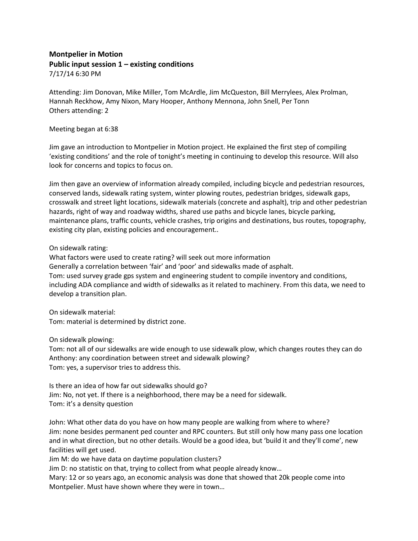## **Montpelier in Motion Public input session 1 – existing conditions** 7/17/14 6:30 PM

Attending: Jim Donovan, Mike Miller, Tom McArdle, Jim McQueston, Bill Merrylees, Alex Prolman, Hannah Reckhow, Amy Nixon, Mary Hooper, Anthony Mennona, John Snell, Per Tonn Others attending: 2

## Meeting began at 6:38

Jim gave an introduction to Montpelier in Motion project. He explained the first step of compiling 'existing conditions' and the role of tonight's meeting in continuing to develop this resource. Will also look for concerns and topics to focus on.

Jim then gave an overview of information already compiled, including bicycle and pedestrian resources, conserved lands, sidewalk rating system, winter plowing routes, pedestrian bridges, sidewalk gaps, crosswalk and street light locations, sidewalk materials (concrete and asphalt), trip and other pedestrian hazards, right of way and roadway widths, shared use paths and bicycle lanes, bicycle parking, maintenance plans, traffic counts, vehicle crashes, trip origins and destinations, bus routes, topography, existing city plan, existing policies and encouragement..

## On sidewalk rating:

What factors were used to create rating? will seek out more information Generally a correlation between 'fair' and 'poor' and sidewalks made of asphalt. Tom: used survey grade gps system and engineering student to compile inventory and conditions, including ADA compliance and width of sidewalks as it related to machinery. From this data, we need to develop a transition plan.

On sidewalk material: Tom: material is determined by district zone.

On sidewalk plowing:

Tom: not all of our sidewalks are wide enough to use sidewalk plow, which changes routes they can do Anthony: any coordination between street and sidewalk plowing? Tom: yes, a supervisor tries to address this.

Is there an idea of how far out sidewalks should go? Jim: No, not yet. If there is a neighborhood, there may be a need for sidewalk. Tom: it's a density question

John: What other data do you have on how many people are walking from where to where? Jim: none besides permanent ped counter and RPC counters. But still only how many pass one location and in what direction, but no other details. Would be a good idea, but 'build it and they'll come', new facilities will get used.

Jim M: do we have data on daytime population clusters?

Jim D: no statistic on that, trying to collect from what people already know…

Mary: 12 or so years ago, an economic analysis was done that showed that 20k people come into Montpelier. Must have shown where they were in town…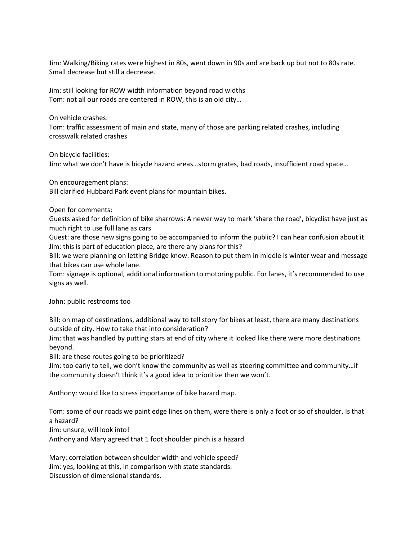Jim: Walking/Biking rates were highest in 80s, went down in 90s and are back up but not to 80s rate. Small decrease but still a decrease.

Jim: still looking for ROW width information beyond road widths Tom: not all our roads are centered in ROW, this is an old city…

On vehicle crashes:

Tom: traffic assessment of main and state, many of those are parking related crashes, including crosswalk related crashes

On bicycle facilities:

Jim: what we don't have is bicycle hazard areas…storm grates, bad roads, insufficient road space…

On encouragement plans:

Bill clarified Hubbard Park event plans for mountain bikes.

Open for comments:

Guests asked for definition of bike sharrows: A newer way to mark 'share the road', bicyclist have just as much right to use full lane as cars

Guest: are those new signs going to be accompanied to inform the public? I can hear confusion about it. Jim: this is part of education piece, are there any plans for this?

Bill: we were planning on letting Bridge know. Reason to put them in middle is winter wear and message that bikes can use whole lane.

Tom: signage is optional, additional information to motoring public. For lanes, it's recommended to use signs as well.

John: public restrooms too

Bill: on map of destinations, additional way to tell story for bikes at least, there are many destinations outside of city. How to take that into consideration?

Jim: that was handled by putting stars at end of city where it looked like there were more destinations beyond.

Bill: are these routes going to be prioritized?

Jim: too early to tell, we don't know the community as well as steering committee and community…if the community doesn't think it's a good idea to prioritize then we won't.

Anthony: would like to stress importance of bike hazard map.

Tom: some of our roads we paint edge lines on them, were there is only a foot or so of shoulder. Is that a hazard?

Jim: unsure, will look into!

Anthony and Mary agreed that 1 foot shoulder pinch is a hazard.

Mary: correlation between shoulder width and vehicle speed? Jim: yes, looking at this, in comparison with state standards. Discussion of dimensional standards.